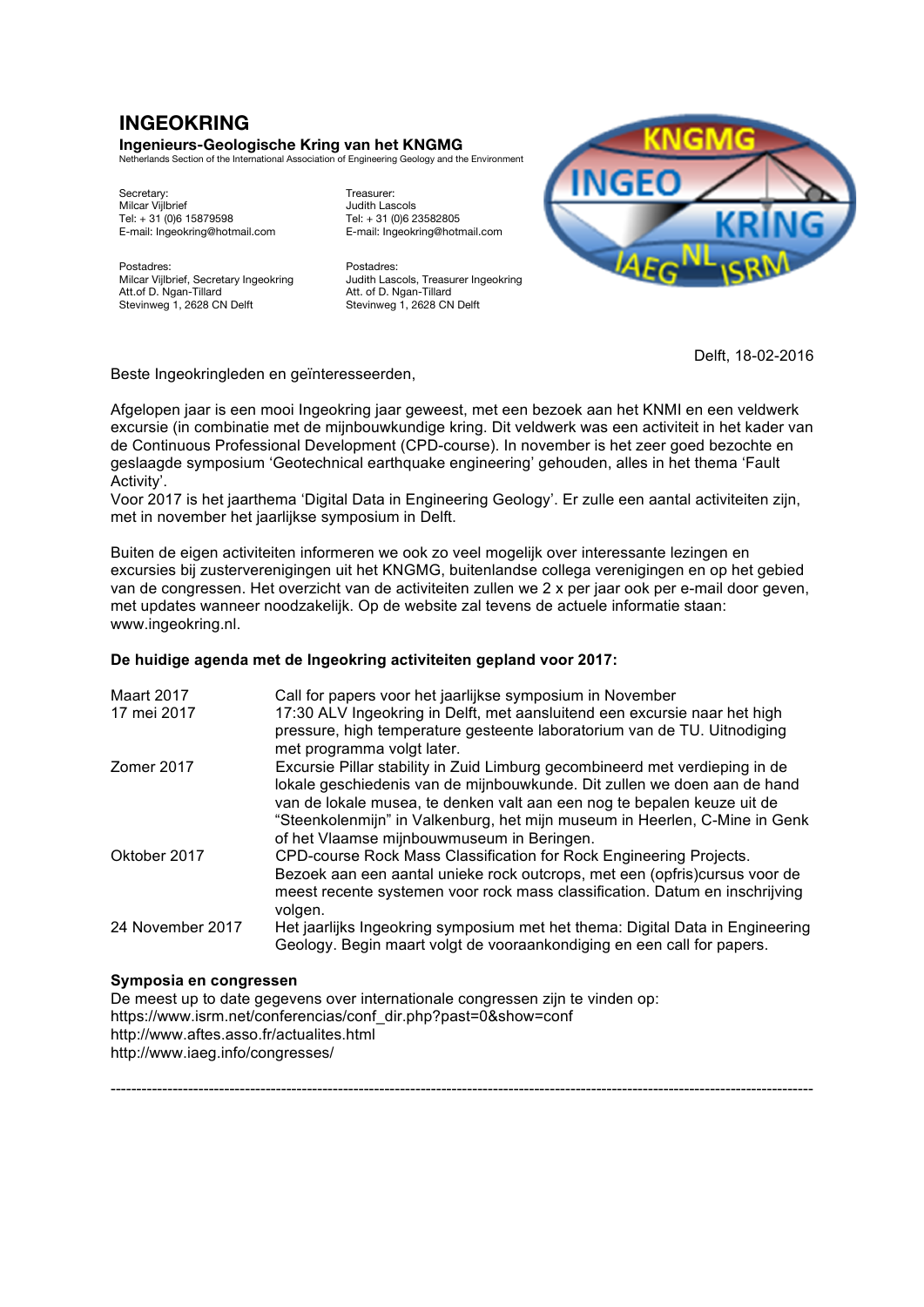# **INGEOKRING**

## **Ingenieurs-Geologische Kring van het KNGMG**

Netherlands Section of the International Association of Engineering Geology and the Environment

Secretary: Treasurer: Treasurer: Treasurer: Treasurer: Treasurer: Treasurer: Treasurer: Treasurer: Treasurer: Treasurer: Treasurer: Treasurer: Treasurer: Treasurer: Treasurer: Treasurer: Treasurer: Treasurer: Treasurer: Tr E-mail: Ingeokring@hotmail.com E-mail: Ingeokring@hotmail.com

Milcar Vijlbrief, Secretary Ingeokring<br>Att.of D. Ngan-Tillard Stevinweg 1, 2628 CN Delft

Judith Lascols<br>Tel: + 31 (0)6 23582805 Tel: + 31 (0)6 15879598 Tel: + 31 (0)6 23582805

Postadres:<br>
Milcar Vijlbrief, Secretary Ingeokring Budith Lascols, Treasurer Ingeokring Att. of D. Ngan-Tillard<br>Stevinweg 1, 2628 CN Delft



Delft, 18-02-2016

Beste Ingeokringleden en geïnteresseerden,

Afgelopen jaar is een mooi Ingeokring jaar geweest, met een bezoek aan het KNMI en een veldwerk excursie (in combinatie met de mijnbouwkundige kring. Dit veldwerk was een activiteit in het kader van de Continuous Professional Development (CPD-course). In november is het zeer goed bezochte en geslaagde symposium 'Geotechnical earthquake engineering' gehouden, alles in het thema 'Fault Activity'.

Voor 2017 is het jaarthema 'Digital Data in Engineering Geology'. Er zulle een aantal activiteiten zijn, met in november het jaarlijkse symposium in Delft.

Buiten de eigen activiteiten informeren we ook zo veel mogelijk over interessante lezingen en excursies bij zusterverenigingen uit het KNGMG, buitenlandse collega verenigingen en op het gebied van de congressen. Het overzicht van de activiteiten zullen we 2 x per jaar ook per e-mail door geven, met updates wanneer noodzakelijk. Op de website zal tevens de actuele informatie staan: www.ingeokring.nl.

## **De huidige agenda met de Ingeokring activiteiten gepland voor 2017:**

| <b>Maart 2017</b><br>17 mei 2017 | Call for papers voor het jaarlijkse symposium in November<br>17:30 ALV Ingeokring in Delft, met aansluitend een excursie naar het high<br>pressure, high temperature gesteente laboratorium van de TU. Uitnodiging                                                                                                                                          |
|----------------------------------|-------------------------------------------------------------------------------------------------------------------------------------------------------------------------------------------------------------------------------------------------------------------------------------------------------------------------------------------------------------|
| Zomer 2017                       | met programma volgt later.<br>Excursie Pillar stability in Zuid Limburg gecombineerd met verdieping in de<br>lokale geschiedenis van de mijnbouwkunde. Dit zullen we doen aan de hand<br>van de lokale musea, te denken valt aan een nog te bepalen keuze uit de                                                                                            |
| Oktober 2017                     | "Steenkolenmijn" in Valkenburg, het mijn museum in Heerlen, C-Mine in Genk<br>of het Vlaamse mijnbouwmuseum in Beringen.<br>CPD-course Rock Mass Classification for Rock Engineering Projects.<br>Bezoek aan een aantal unieke rock outcrops, met een (opfris)cursus voor de<br>meest recente systemen voor rock mass classification. Datum en inschrijving |
| 24 November 2017                 | volgen.<br>Het jaarlijks Ingeokring symposium met het thema: Digital Data in Engineering<br>Geology. Begin maart volgt de vooraankondiging en een call for papers.                                                                                                                                                                                          |

----------------------------------------------------------------------------------------------------------------------------------------

## **Symposia en congressen**

De meest up to date gegevens over internationale congressen zijn te vinden op: https://www.isrm.net/conferencias/conf\_dir.php?past=0&show=conf http://www.aftes.asso.fr/actualites.html http://www.iaeg.info/congresses/